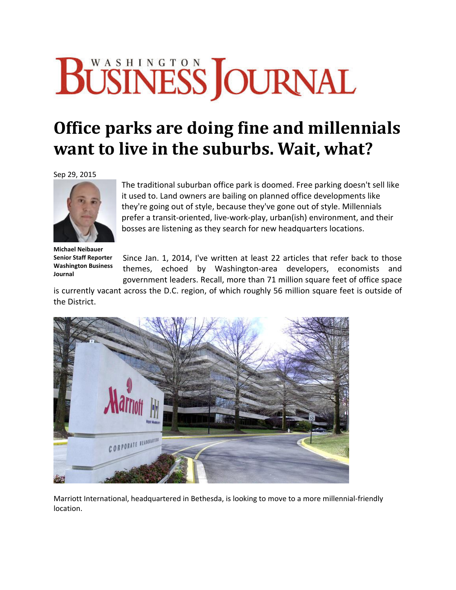## BÜSINESS JOURNAL

## **Office parks are doing fine and millennials want to live in the suburbs. Wait, what?**

Sep 29, 2015



The traditional suburban office park is doomed. Free parking doesn't sell like it used to. Land owners are bailing on planned office developments like they're going out of style, because they've gone out of style. Millennials prefer a transit‐oriented, live‐work‐play, urban(ish) environment, and their bosses are listening as they search for new headquarters locations.

**Michael Neibauer Senior Staff Reporter Washington Business Journal**

Since Jan. 1, 2014, I've written at least 22 articles that refer back to those themes, echoed by Washington‐area developers, economists and government leaders. Recall, more than 71 million square feet of office space

is currently vacant across the D.C. region, of which roughly 56 million square feet is outside of the District.



Marriott International, headquartered in Bethesda, is looking to move to a more millennial‐friendly location.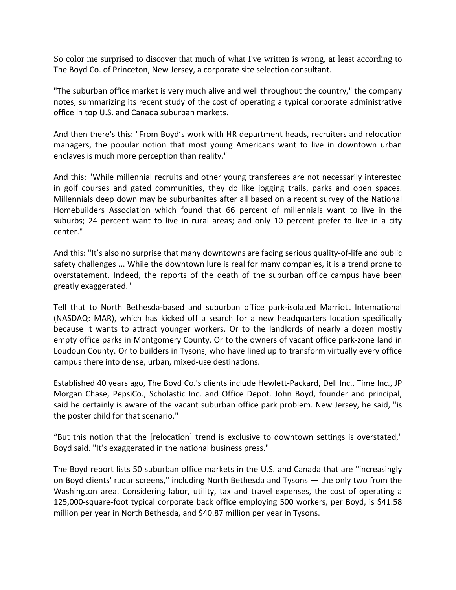So color me surprised to discover that much of what I've written is wrong, at least according to The Boyd Co. of Princeton, New Jersey, a corporate site selection consultant.

"The suburban office market is very much alive and well throughout the country," the company notes, summarizing its recent study of the cost of operating a typical corporate administrative office in top U.S. and Canada suburban markets.

And then there's this: "From Boyd's work with HR department heads, recruiters and relocation managers, the popular notion that most young Americans want to live in downtown urban enclaves is much more perception than reality."

And this: "While millennial recruits and other young transferees are not necessarily interested in golf courses and gated communities, they do like jogging trails, parks and open spaces. Millennials deep down may be suburbanites after all based on a recent survey of the National Homebuilders Association which found that 66 percent of millennials want to live in the suburbs; 24 percent want to live in rural areas; and only 10 percent prefer to live in a city center."

And this: "It's also no surprise that many downtowns are facing serious quality‐of‐life and public safety challenges ... While the downtown lure is real for many companies, it is a trend prone to overstatement. Indeed, the reports of the death of the suburban office campus have been greatly exaggerated."

Tell that to North Bethesda‐based and suburban office park‐isolated Marriott International (NASDAQ: MAR), which has kicked off a search for a new headquarters location specifically because it wants to attract younger workers. Or to the landlords of nearly a dozen mostly empty office parks in Montgomery County. Or to the owners of vacant office park‐zone land in Loudoun County. Or to builders in Tysons, who have lined up to transform virtually every office campus there into dense, urban, mixed‐use destinations.

Established 40 years ago, The Boyd Co.'s clients include Hewlett-Packard, Dell Inc., Time Inc., JP Morgan Chase, PepsiCo., Scholastic Inc. and Office Depot. John Boyd, founder and principal, said he certainly is aware of the vacant suburban office park problem. New Jersey, he said, "is the poster child for that scenario."

"But this notion that the [relocation] trend is exclusive to downtown settings is overstated," Boyd said. "It's exaggerated in the national business press."

The Boyd report lists 50 suburban office markets in the U.S. and Canada that are "increasingly on Boyd clients' radar screens," including North Bethesda and Tysons — the only two from the Washington area. Considering labor, utility, tax and travel expenses, the cost of operating a 125,000‐square‐foot typical corporate back office employing 500 workers, per Boyd, is \$41.58 million per year in North Bethesda, and \$40.87 million per year in Tysons.